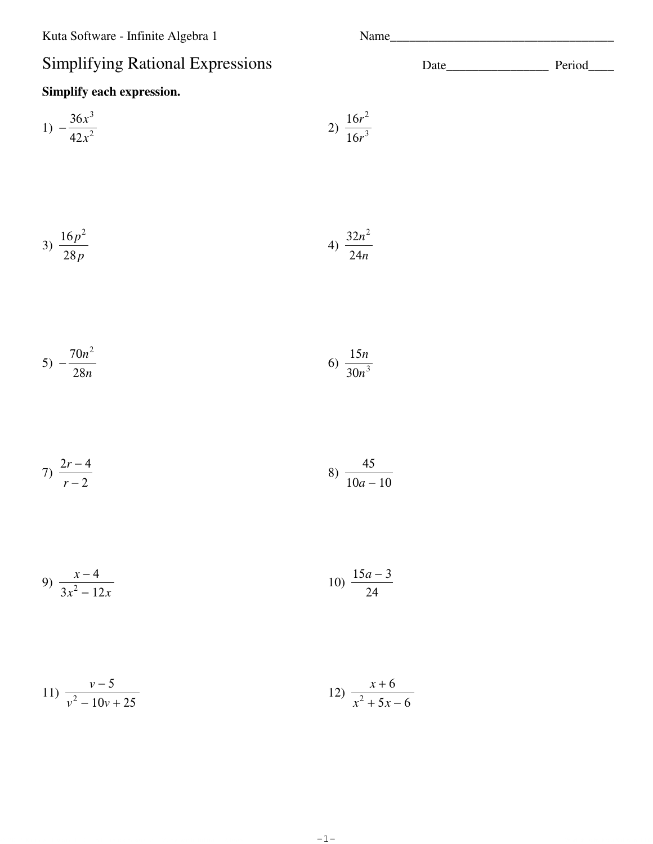Kuta Software - Infinite Algebra 1

## Si

| <b>Simplifying Rational Expressions</b> |                          | Period |
|-----------------------------------------|--------------------------|--------|
| Simplify each expression.               |                          |        |
| 1) $-\frac{36x^3}{42x^2}$               | 2) $\frac{16r^2}{16r^3}$ |        |
| 3) $\frac{16p^2}{28p}$                  | 4) $\frac{32n^2}{24n}$   |        |
| 5) $-\frac{70n^2}{28n}$                 | 6) $\frac{15n}{30n^3}$   |        |
| 7) $\frac{2r-4}{r-2}$                   | 8) $\frac{45}{10a-10}$   |        |

9) 
$$
\frac{x-4}{3x^2-12x}
$$
 10) 
$$
\frac{15a-3}{24}
$$

11) 
$$
\frac{v-5}{v^2-10v+25}
$$
 12)  $\frac{x+6}{x^2+5x-6}$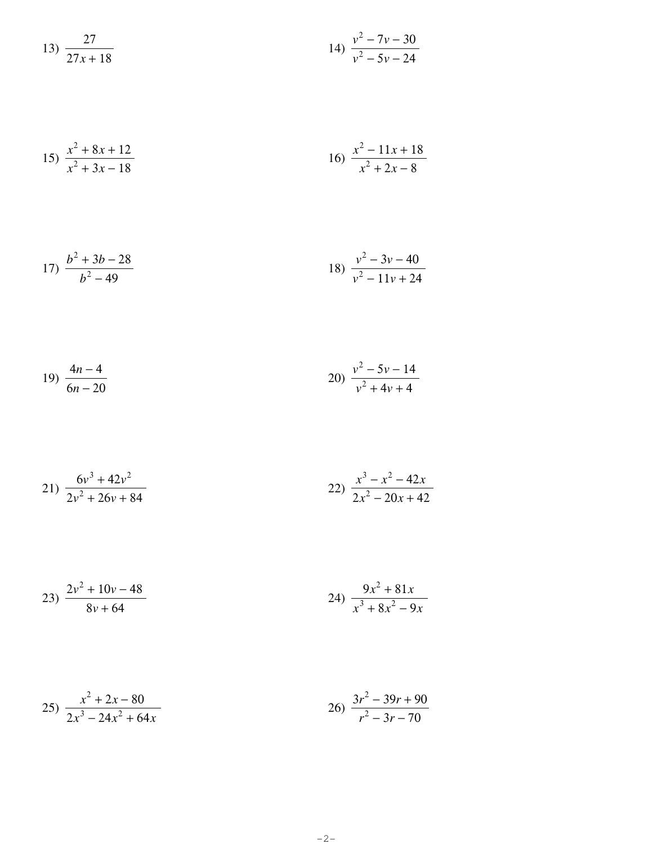13) 
$$
\frac{27}{27x+18}
$$
14) 
$$
\frac{v^2 - 7v - 30}{v^2 - 5v - 24}
$$

15) 
$$
\frac{x^2 + 8x + 12}{x^2 + 3x - 18}
$$
16) 
$$
\frac{x^2 - 11x + 18}{x^2 + 2x - 8}
$$

17) 
$$
\frac{b^2 + 3b - 28}{b^2 - 49}
$$
18) 
$$
\frac{v^2 - 3v - 40}{v^2 - 11v + 24}
$$

19) 
$$
\frac{4n-4}{6n-20}
$$
 20) 
$$
\frac{v^2-5v-14}{v^2+4v+4}
$$

$$
21) \frac{6v^3 + 42v^2}{2v^2 + 26v + 84}
$$
\n
$$
22) \frac{x^3 - x^2 - 42x}{2x^2 - 20x + 42}
$$

$$
23) \frac{2v^2 + 10v - 48}{8v + 64}
$$
\n
$$
24) \frac{9x^2 + 81x}{x^3 + 8x^2 - 9x}
$$

$$
25)\ \frac{x^2 + 2x - 80}{2x^3 - 24x^2 + 64x} \qquad \qquad 26)\ \frac{3r^2 - 39r + 90}{r^2 - 3r - 70}
$$

 $-2-$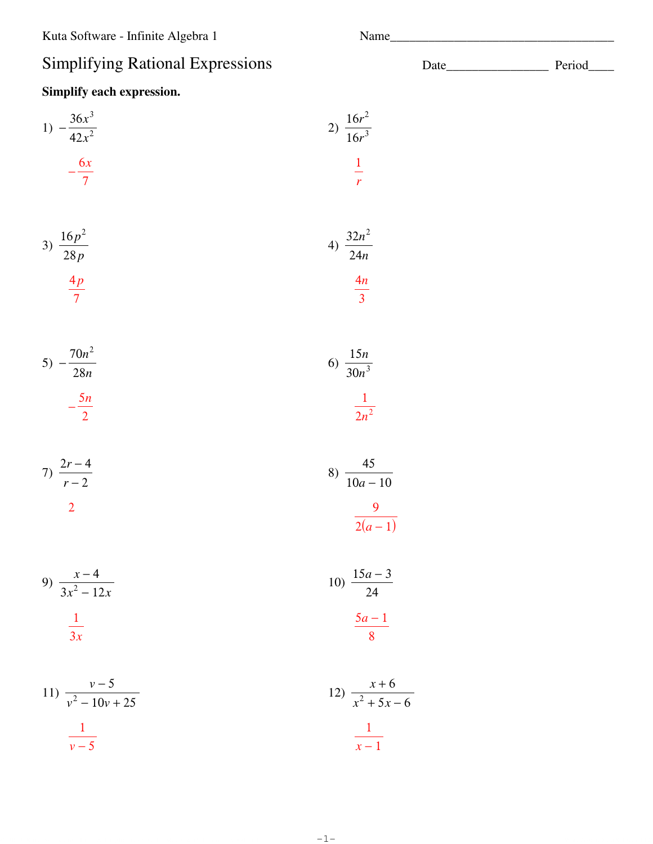## Sii

| <b>Simplifying Rational Expressions</b>         |                                               | Period |
|-------------------------------------------------|-----------------------------------------------|--------|
| Simplify each expression.                       |                                               |        |
| 1) $-\frac{36x^3}{42x^2}$<br>$-\frac{6x}{7}$    | 2) $\frac{16r^2}{16r^3}$<br>$\frac{1}{r}$     |        |
| 3) $\frac{16p^2}{28p}$<br>$\frac{4p}{7}$        | 4) $\frac{32n^2}{24n}$<br>$\frac{4n}{3}$      |        |
| 5) $-\frac{70n^2}{28n}$<br>$-\frac{5n}{2}$      | 6) $\frac{15n}{30n^3}$<br>$\frac{1}{2n^2}$    |        |
| 7) $\frac{2r-4}{r-2}$<br>$\overline{2}$         | 8) $\frac{45}{10a-10}$<br>$\frac{9}{2(a-1)}$  |        |
| 9) $\frac{x-4}{3x^2-12x}$<br>$\frac{1}{3x}$     | 10) $\frac{15a-3}{24}$<br>$\frac{5a-1}{8}$    |        |
| 11) $\frac{v-5}{v^2-10v+25}$<br>$\frac{1}{v-5}$ | 12) $\frac{x+6}{x^2+5x-6}$<br>$\frac{1}{x-1}$ |        |

 $-1-$